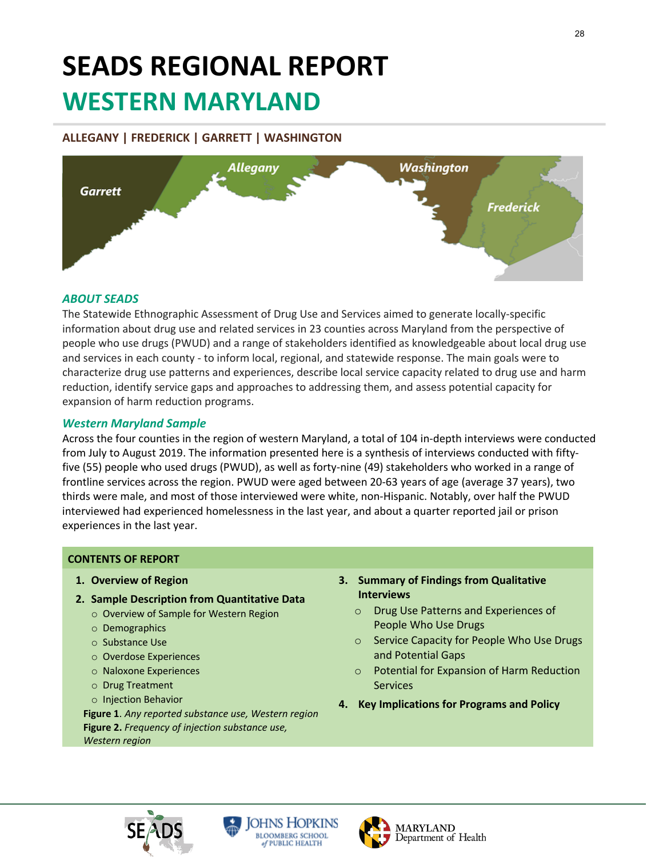# **SEADS REGIONAL REPORT WESTERN MARYLAND**

# **ALLEGANY | FREDERICK | GARRETT | WASHINGTON**



# *ABOUT SEADS*

The Statewide Ethnographic Assessment of Drug Use and Services aimed to generate locally-specific information about drug use and related services in 23 counties across Maryland from the perspective of people who use drugs (PWUD) and a range of stakeholders identified as knowledgeable about local drug use and services in each county - to inform local, regional, and statewide response. The main goals were to characterize drug use patterns and experiences, describe local service capacity related to drug use and harm reduction, identify service gaps and approaches to addressing them, and assess potential capacity for expansion of harm reduction programs.

# *Western Maryland Sample*

Across the four counties in the region of western Maryland, a total of 104 in-depth interviews were conducted from July to August 2019. The information presented here is a synthesis of interviews conducted with fiftyfive (55) people who used drugs (PWUD), as well as forty-nine (49) stakeholders who worked in a range of frontline services across the region. PWUD were aged between 20-63 years of age (average 37 years), two thirds were male, and most of those interviewed were white, non-Hispanic. Notably, over half the PWUD interviewed had experienced homelessness in the last year, and about a quarter reported jail or prison experiences in the last year.

### **CONTENTS OF REPORT**

- **1. Overview of Region**
- **2. Sample Description from Quantitative Data**
	- o Overview of Sample for Western Region
	- o Demographics
	- o Substance Use
	- o Overdose Experiences
	- o Naloxone Experiences
	- o Drug Treatment
	- o Injection Behavior

**Figure 1**. *Any reported substance use, Western region*  **Figure 2.** *Frequency of injection substance use, Western region* 

### **3. Summary of Findings from Qualitative Interviews**

- o Drug Use Patterns and Experiences of People Who Use Drugs
- o Service Capacity for People Who Use Drugs and Potential Gaps
- o Potential for Expansion of Harm Reduction Services
- **4. Key Implications for Programs and Policy**





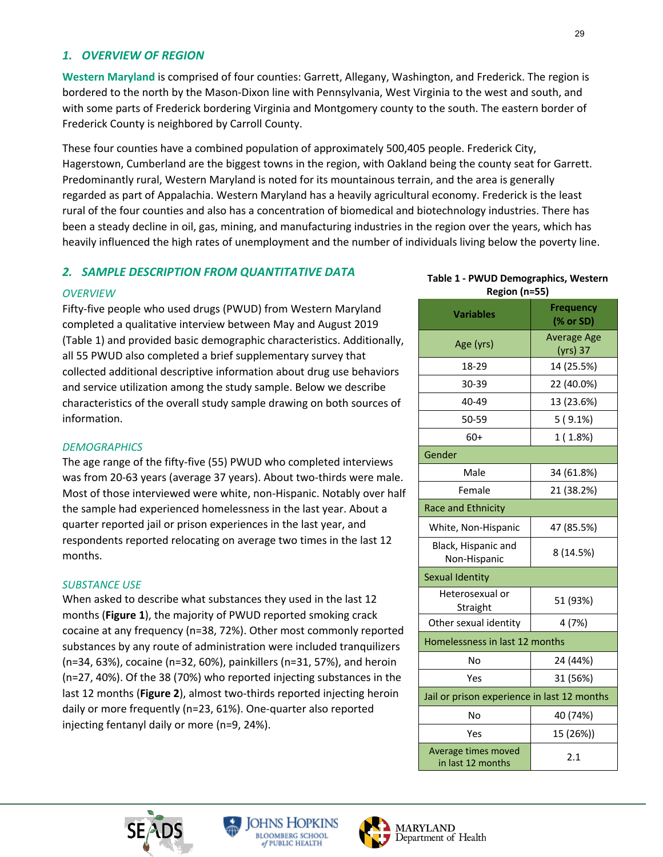### *1. OVERVIEW OF REGION*

**Western Maryland** is comprised of four counties: Garrett, Allegany, Washington, and Frederick. The region is bordered to the north by the Mason-Dixon line with Pennsylvania, West Virginia to the west and south, and with some parts of Frederick bordering Virginia and Montgomery county to the south. The eastern border of Frederick County is neighbored by Carroll County.

These four counties have a combined population of approximately 500,405 people. Frederick City, Hagerstown, Cumberland are the biggest towns in the region, with Oakland being the county seat for Garrett. Predominantly rural, Western Maryland is noted for its mountainous terrain, and the area is generally regarded as part of Appalachia. Western Maryland has a heavily agricultural economy. Frederick is the least rural of the four counties and also has a concentration of biomedical and biotechnology industries. There has been a steady decline in oil, gas, mining, and manufacturing industries in the region over the years, which has heavily influenced the high rates of unemployment and the number of individuals living below the poverty line.

### *2. SAMPLE DESCRIPTION FROM QUANTITATIVE DATA*

### *OVERVIEW*

Fifty-five people who used drugs (PWUD) from Western Maryland completed a qualitative interview between May and August 2019 (Table 1) and provided basic demographic characteristics. Additionally, all 55 PWUD also completed a brief supplementary survey that collected additional descriptive information about drug use behaviors and service utilization among the study sample. Below we describe characteristics of the overall study sample drawing on both sources of information.

### *DEMOGRAPHICS*

The age range of the fifty-five (55) PWUD who completed interviews was from 20-63 years (average 37 years). About two-thirds were male. Most of those interviewed were white, non-Hispanic. Notably over half the sample had experienced homelessness in the last year. About a quarter reported jail or prison experiences in the last year, and respondents reported relocating on average two times in the last 12 months.

#### *SUBSTANCE USE*

When asked to describe what substances they used in the last 12 months (**Figure 1**), the majority of PWUD reported smoking crack cocaine at any frequency (n=38, 72%). Other most commonly reported substances by any route of administration were included tranquilizers (n=34, 63%), cocaine (n=32, 60%), painkillers (n=31, 57%), and heroin (n=27, 40%). Of the 38 (70%) who reported injecting substances in the last 12 months (**Figure 2**), almost two-thirds reported injecting heroin daily or more frequently (n=23, 61%). One-quarter also reported injecting fentanyl daily or more (n=9, 24%).

### **Table 1 - PWUD Demographics, Western Region (n=55)**

| <b>Variables</b>                            | <b>Frequency</b><br>(% or SD)  |
|---------------------------------------------|--------------------------------|
| Age (yrs)                                   | <b>Average Age</b><br>(yrs) 37 |
| 18-29                                       | 14 (25.5%)                     |
| 30-39                                       | 22 (40.0%)                     |
| 40-49                                       | 13 (23.6%)                     |
| 50-59                                       | $5(9.1\%)$                     |
| $60+$                                       | 1(1.8%)                        |
| Gender                                      |                                |
| Male                                        | 34 (61.8%)                     |
| Female                                      | 21 (38.2%)                     |
| <b>Race and Ethnicity</b>                   |                                |
| White, Non-Hispanic                         | 47 (85.5%)                     |
| Black, Hispanic and<br>Non-Hispanic         | 8 (14.5%)                      |
| Sexual Identity                             |                                |
| Heterosexual or<br>Straight                 | 51 (93%)                       |
| Other sexual identity                       | 4 (7%)                         |
| Homelessness in last 12 months              |                                |
| No                                          | 24 (44%)                       |
| Yes                                         | 31 (56%)                       |
| Jail or prison experience in last 12 months |                                |
| No                                          | 40 (74%)                       |
| Yes                                         | 15 (26%))                      |
| Average times moved<br>in last 12 months    | 2.1                            |





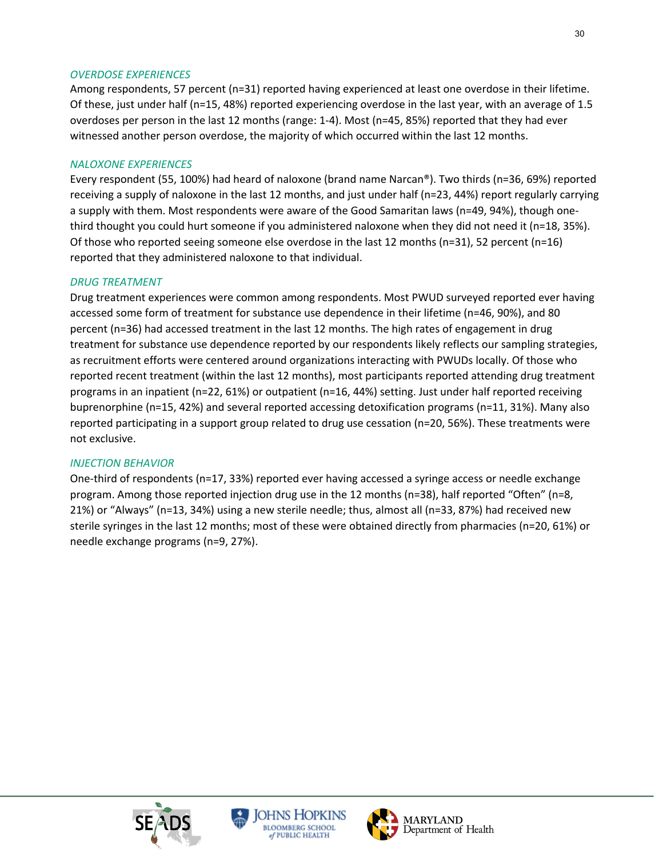### *OVERDOSE EXPERIENCES*

Among respondents, 57 percent (n=31) reported having experienced at least one overdose in their lifetime. Of these, just under half (n=15, 48%) reported experiencing overdose in the last year, with an average of 1.5 overdoses per person in the last 12 months (range: 1-4). Most (n=45, 85%) reported that they had ever witnessed another person overdose, the majority of which occurred within the last 12 months.

### *NALOXONE EXPERIENCES*

Every respondent (55, 100%) had heard of naloxone (brand name Narcan®). Two thirds (n=36, 69%) reported receiving a supply of naloxone in the last 12 months, and just under half (n=23, 44%) report regularly carrying a supply with them. Most respondents were aware of the Good Samaritan laws (n=49, 94%), though onethird thought you could hurt someone if you administered naloxone when they did not need it (n=18, 35%). Of those who reported seeing someone else overdose in the last 12 months (n=31), 52 percent (n=16) reported that they administered naloxone to that individual.

### *DRUG TREATMENT*

Drug treatment experiences were common among respondents. Most PWUD surveyed reported ever having accessed some form of treatment for substance use dependence in their lifetime (n=46, 90%), and 80 percent (n=36) had accessed treatment in the last 12 months. The high rates of engagement in drug treatment for substance use dependence reported by our respondents likely reflects our sampling strategies, as recruitment efforts were centered around organizations interacting with PWUDs locally. Of those who reported recent treatment (within the last 12 months), most participants reported attending drug treatment programs in an inpatient (n=22, 61%) or outpatient (n=16, 44%) setting. Just under half reported receiving buprenorphine (n=15, 42%) and several reported accessing detoxification programs (n=11, 31%). Many also reported participating in a support group related to drug use cessation (n=20, 56%). These treatments were not exclusive.

### *INJECTION BEHAVIOR*

One-third of respondents (n=17, 33%) reported ever having accessed a syringe access or needle exchange program. Among those reported injection drug use in the 12 months (n=38), half reported "Often" (n=8, 21%) or "Always" (n=13, 34%) using a new sterile needle; thus, almost all (n=33, 87%) had received new sterile syringes in the last 12 months; most of these were obtained directly from pharmacies (n=20, 61%) or needle exchange programs (n=9, 27%).





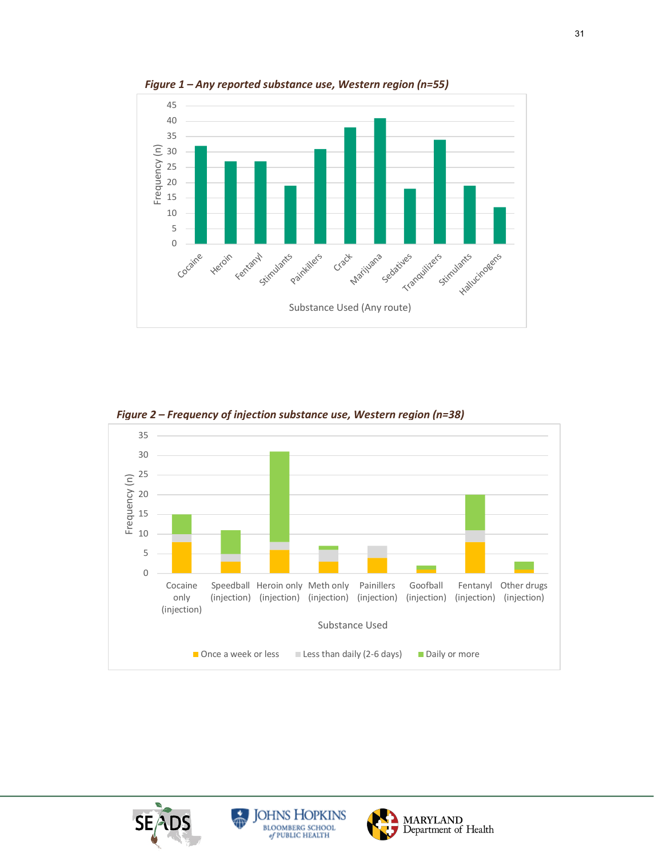

*Figure 1 – Any reported substance use, Western region (n=55)* 



*Figure 2 – Frequency of injection substance use, Western region (n=38)* 





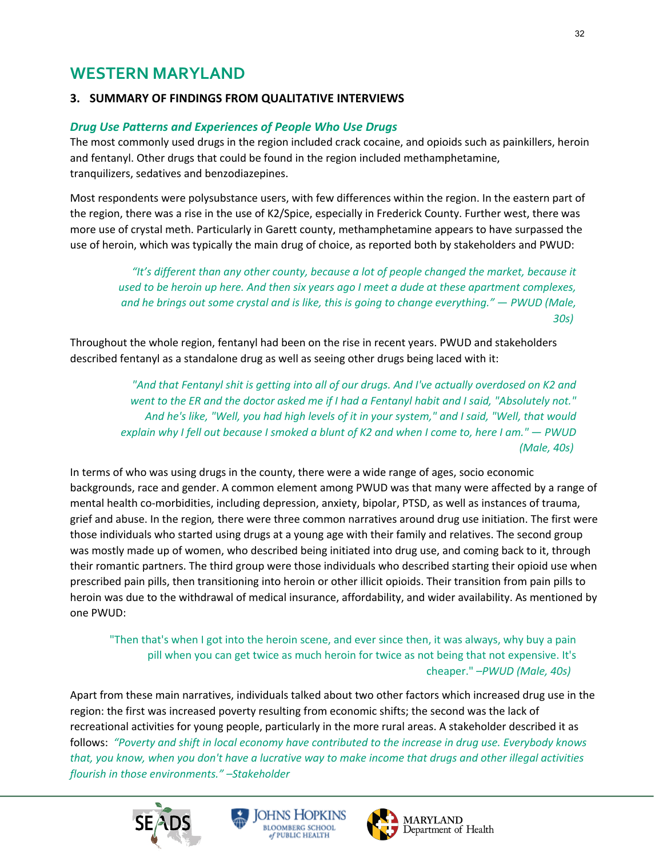# **WESTERN MARYLAND**

# **3. SUMMARY OF FINDINGS FROM QUALITATIVE INTERVIEWS**

# *Drug Use Patterns and Experiences of People Who Use Drugs*

The most commonly used drugs in the region included crack cocaine, and opioids such as painkillers, heroin and fentanyl. Other drugs that could be found in the region included methamphetamine, tranquilizers, sedatives and benzodiazepines.

Most respondents were polysubstance users, with few differences within the region. In the eastern part of the region, there was a rise in the use of K2/Spice, especially in Frederick County. Further west, there was more use of crystal meth. Particularly in Garett county, methamphetamine appears to have surpassed the use of heroin, which was typically the main drug of choice, as reported both by stakeholders and PWUD:

*"It's different than any other county, because a lot of people changed the market, because it used to be heroin up here. And then six years ago I meet a dude at these apartment complexes, and he brings out some crystal and is like, this is going to change everything."* — *PWUD (Male, 30s)*

Throughout the whole region, fentanyl had been on the rise in recent years. PWUD and stakeholders described fentanyl as a standalone drug as well as seeing other drugs being laced with it:

> *"And that Fentanyl shit is getting into all of our drugs. And I've actually overdosed on K2 and went to the ER and the doctor asked me if I had a Fentanyl habit and I said, "Absolutely not." And he's like, "Well, you had high levels of it in your system," and I said, "Well, that would explain why I fell out because I smoked a blunt of K2 and when I come to, here I am." — PWUD (Male, 40s)*

In terms of who was using drugs in the county, there were a wide range of ages, socio economic backgrounds, race and gender. A common element among PWUD was that many were affected by a range of mental health co-morbidities, including depression, anxiety, bipolar, PTSD, as well as instances of trauma, grief and abuse. In the region*,* there were three common narratives around drug use initiation. The first were those individuals who started using drugs at a young age with their family and relatives. The second group was mostly made up of women, who described being initiated into drug use, and coming back to it, through their romantic partners. The third group were those individuals who described starting their opioid use when prescribed pain pills, then transitioning into heroin or other illicit opioids. Their transition from pain pills to heroin was due to the withdrawal of medical insurance, affordability, and wider availability. As mentioned by one PWUD:

"Then that's when I got into the heroin scene, and ever since then, it was always, why buy a pain pill when you can get twice as much heroin for twice as not being that not expensive. It's cheaper." *–PWUD (Male, 40s)*

Apart from these main narratives, individuals talked about two other factors which increased drug use in the region: the first was increased poverty resulting from economic shifts; the second was the lack of recreational activities for young people, particularly in the more rural areas. A stakeholder described it as follows: *"Poverty and shift in local economy have contributed to the increase in drug use. Everybody knows that, you know, when you don't have a lucrative way to make income that drugs and other illegal activities flourish in those environments." –Stakeholder*





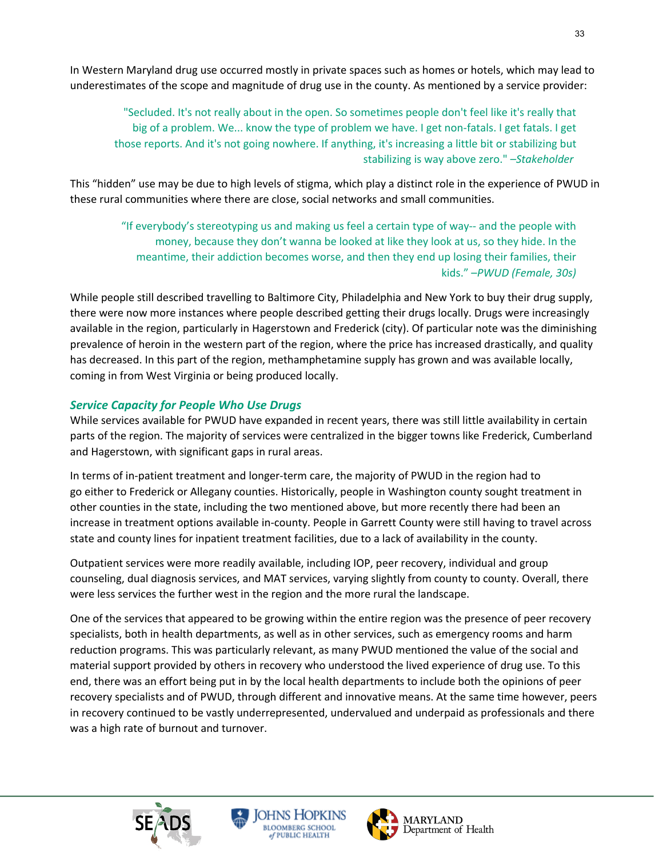In Western Maryland drug use occurred mostly in private spaces such as homes or hotels, which may lead to underestimates of the scope and magnitude of drug use in the county. As mentioned by a service provider:

"Secluded. It's not really about in the open. So sometimes people don't feel like it's really that big of a problem. We... know the type of problem we have. I get non-fatals. I get fatals. I get those reports. And it's not going nowhere. If anything, it's increasing a little bit or stabilizing but stabilizing is way above zero." *–Stakeholder*

This "hidden" use may be due to high levels of stigma, which play a distinct role in the experience of PWUD in these rural communities where there are close, social networks and small communities.

"If everybody's stereotyping us and making us feel a certain type of way-- and the people with money, because they don't wanna be looked at like they look at us, so they hide. In the meantime, their addiction becomes worse, and then they end up losing their families, their kids." –*PWUD (Female, 30s)*

While people still described travelling to Baltimore City, Philadelphia and New York to buy their drug supply, there were now more instances where people described getting their drugs locally. Drugs were increasingly available in the region, particularly in Hagerstown and Frederick (city). Of particular note was the diminishing prevalence of heroin in the western part of the region, where the price has increased drastically, and quality has decreased. In this part of the region, methamphetamine supply has grown and was available locally, coming in from West Virginia or being produced locally.

# *Service Capacity for People Who Use Drugs*

While services available for PWUD have expanded in recent years, there was still little availability in certain parts of the region. The majority of services were centralized in the bigger towns like Frederick, Cumberland and Hagerstown, with significant gaps in rural areas.

In terms of in-patient treatment and longer-term care, the majority of PWUD in the region had to go either to Frederick or Allegany counties. Historically, people in Washington county sought treatment in other counties in the state, including the two mentioned above, but more recently there had been an increase in treatment options available in-county. People in Garrett County were still having to travel across state and county lines for inpatient treatment facilities, due to a lack of availability in the county.

Outpatient services were more readily available, including IOP, peer recovery, individual and group counseling, dual diagnosis services, and MAT services, varying slightly from county to county. Overall, there were less services the further west in the region and the more rural the landscape.

One of the services that appeared to be growing within the entire region was the presence of peer recovery specialists, both in health departments, as well as in other services, such as emergency rooms and harm reduction programs. This was particularly relevant, as many PWUD mentioned the value of the social and material support provided by others in recovery who understood the lived experience of drug use. To this end, there was an effort being put in by the local health departments to include both the opinions of peer recovery specialists and of PWUD, through different and innovative means. At the same time however, peers in recovery continued to be vastly underrepresented, undervalued and underpaid as professionals and there was a high rate of burnout and turnover.





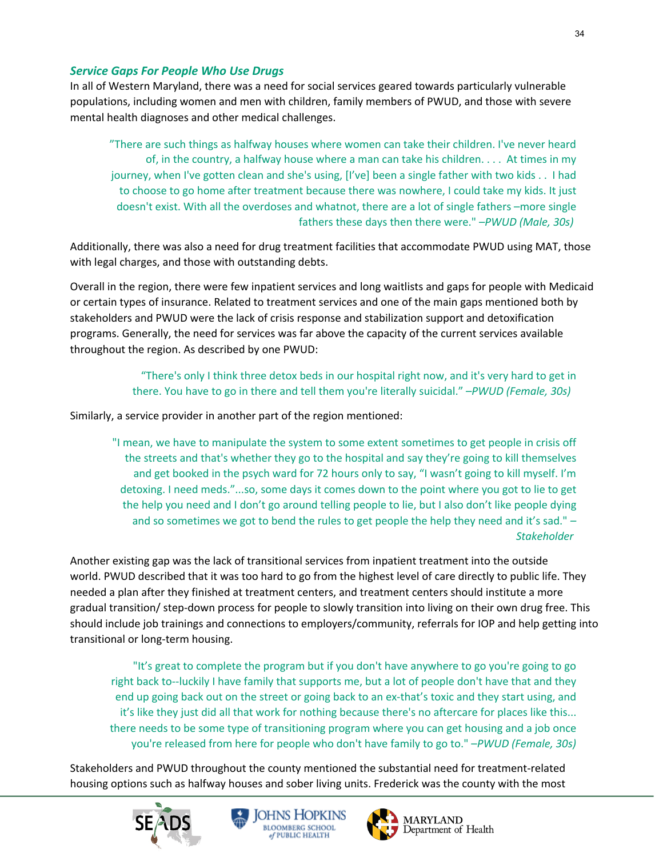### *Service Gaps For People Who Use Drugs*

In all of Western Maryland, there was a need for social services geared towards particularly vulnerable populations, including women and men with children, family members of PWUD, and those with severe mental health diagnoses and other medical challenges.

"There are such things as halfway houses where women can take their children. I've never heard of, in the country, a halfway house where a man can take his children. . . . At times in my journey, when I've gotten clean and she's using, [I've] been a single father with two kids . . I had to choose to go home after treatment because there was nowhere, I could take my kids. It just doesn't exist. With all the overdoses and whatnot, there are a lot of single fathers –more single fathers these days then there were." –*PWUD (Male, 30s)*

Additionally, there was also a need for drug treatment facilities that accommodate PWUD using MAT, those with legal charges, and those with outstanding debts.

Overall in the region, there were few inpatient services and long waitlists and gaps for people with Medicaid or certain types of insurance. Related to treatment services and one of the main gaps mentioned both by stakeholders and PWUD were the lack of crisis response and stabilization support and detoxification programs. Generally, the need for services was far above the capacity of the current services available throughout the region. As described by one PWUD:

> "There's only I think three detox beds in our hospital right now, and it's very hard to get in there. You have to go in there and tell them you're literally suicidal." –*PWUD (Female, 30s)*

Similarly, a service provider in another part of the region mentioned:

"I mean, we have to manipulate the system to some extent sometimes to get people in crisis off the streets and that's whether they go to the hospital and say they're going to kill themselves and get booked in the psych ward for 72 hours only to say, "I wasn't going to kill myself. I'm detoxing. I need meds."...so, some days it comes down to the point where you got to lie to get the help you need and I don't go around telling people to lie, but I also don't like people dying and so sometimes we got to bend the rules to get people the help they need and it's sad." *– Stakeholder*

Another existing gap was the lack of transitional services from inpatient treatment into the outside world. PWUD described that it was too hard to go from the highest level of care directly to public life. They needed a plan after they finished at treatment centers, and treatment centers should institute a more gradual transition/ step-down process for people to slowly transition into living on their own drug free. This should include job trainings and connections to employers/community, referrals for IOP and help getting into transitional or long-term housing.

"It's great to complete the program but if you don't have anywhere to go you're going to go right back to--luckily I have family that supports me, but a lot of people don't have that and they end up going back out on the street or going back to an ex-that's toxic and they start using, and it's like they just did all that work for nothing because there's no aftercare for places like this... there needs to be some type of transitioning program where you can get housing and a job once you're released from here for people who don't have family to go to." –*PWUD (Female, 30s)*

Stakeholders and PWUD throughout the county mentioned the substantial need for treatment-related housing options such as halfway houses and sober living units. Frederick was the county with the most





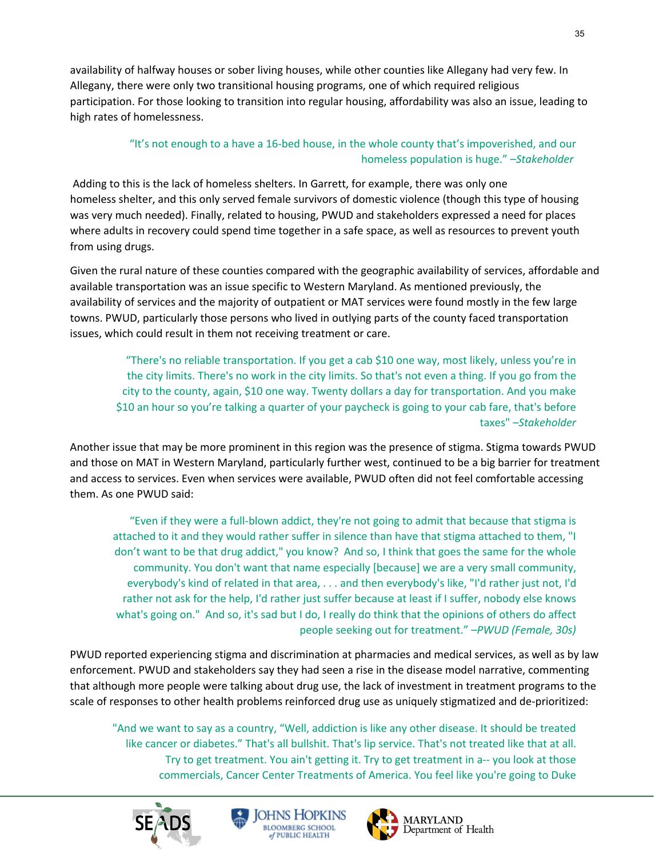availability of halfway houses or sober living houses, while other counties like Allegany had very few. In Allegany, there were only two transitional housing programs, one of which required religious participation. For those looking to transition into regular housing, affordability was also an issue, leading to high rates of homelessness.

# "It's not enough to a have a 16-bed house, in the whole county that's impoverished, and our homeless population is huge." *–Stakeholder*

Adding to this is the lack of homeless shelters. In Garrett, for example, there was only one homeless shelter, and this only served female survivors of domestic violence (though this type of housing was very much needed). Finally, related to housing, PWUD and stakeholders expressed a need for places where adults in recovery could spend time together in a safe space, as well as resources to prevent youth from using drugs.

Given the rural nature of these counties compared with the geographic availability of services, affordable and available transportation was an issue specific to Western Maryland. As mentioned previously, the availability of services and the majority of outpatient or MAT services were found mostly in the few large towns. PWUD, particularly those persons who lived in outlying parts of the county faced transportation issues, which could result in them not receiving treatment or care.

"There's no reliable transportation. If you get a cab \$10 one way, most likely, unless you're in the city limits. There's no work in the city limits. So that's not even a thing. If you go from the city to the county, again, \$10 one way. Twenty dollars a day for transportation. And you make \$10 an hour so you're talking a quarter of your paycheck is going to your cab fare, that's before taxes" *–Stakeholder*

Another issue that may be more prominent in this region was the presence of stigma. Stigma towards PWUD and those on MAT in Western Maryland, particularly further west, continued to be a big barrier for treatment and access to services. Even when services were available, PWUD often did not feel comfortable accessing them. As one PWUD said:

"Even if they were a full-blown addict, they're not going to admit that because that stigma is attached to it and they would rather suffer in silence than have that stigma attached to them, "I don't want to be that drug addict," you know? And so, I think that goes the same for the whole community. You don't want that name especially [because] we are a very small community, everybody's kind of related in that area, . . . and then everybody's like, "I'd rather just not, I'd rather not ask for the help, I'd rather just suffer because at least if I suffer, nobody else knows what's going on." And so, it's sad but I do, I really do think that the opinions of others do affect people seeking out for treatment." –*PWUD (Female, 30s)*

PWUD reported experiencing stigma and discrimination at pharmacies and medical services, as well as by law enforcement. PWUD and stakeholders say they had seen a rise in the disease model narrative, commenting that although more people were talking about drug use, the lack of investment in treatment programs to the scale of responses to other health problems reinforced drug use as uniquely stigmatized and de-prioritized:

"And we want to say as a country, "Well, addiction is like any other disease. It should be treated like cancer or diabetes." That's all bullshit. That's lip service. That's not treated like that at all. Try to get treatment. You ain't getting it. Try to get treatment in a-- you look at those commercials, Cancer Center Treatments of America. You feel like you're going to Duke





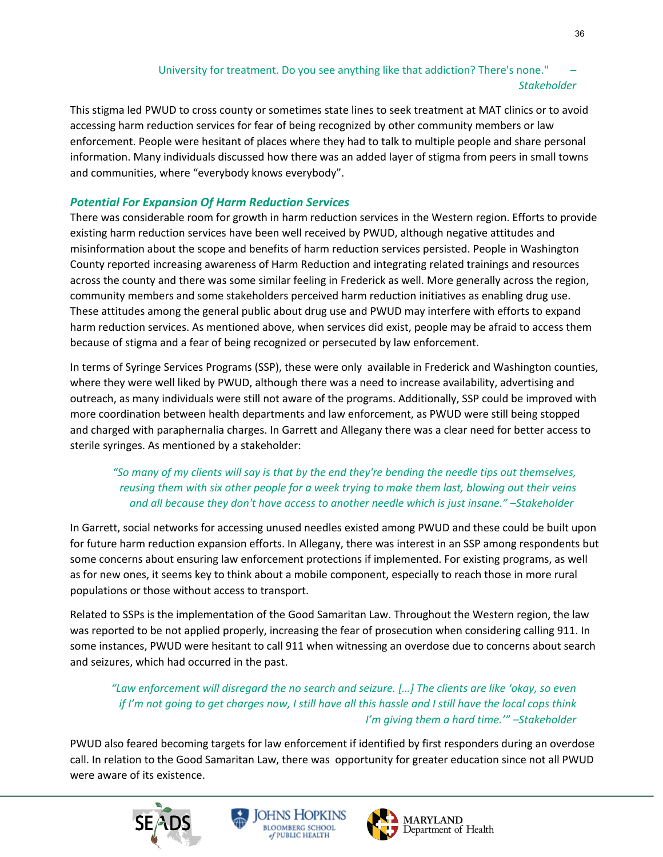# University for treatment. Do you see anything like that addiction? There's none." *– Stakeholder*

This stigma led PWUD to cross county or sometimes state lines to seek treatment at MAT clinics or to avoid accessing harm reduction services for fear of being recognized by other community members or law enforcement. People were hesitant of places where they had to talk to multiple people and share personal information. Many individuals discussed how there was an added layer of stigma from peers in small towns and communities, where "everybody knows everybody".

# *Potential For Expansion Of Harm Reduction Services*

There was considerable room for growth in harm reduction services in the Western region. Efforts to provide existing harm reduction services have been well received by PWUD, although negative attitudes and misinformation about the scope and benefits of harm reduction services persisted. People in Washington County reported increasing awareness of Harm Reduction and integrating related trainings and resources across the county and there was some similar feeling in Frederick as well. More generally across the region, community members and some stakeholders perceived harm reduction initiatives as enabling drug use. These attitudes among the general public about drug use and PWUD may interfere with efforts to expand harm reduction services. As mentioned above, when services did exist, people may be afraid to access them because of stigma and a fear of being recognized or persecuted by law enforcement.

In terms of Syringe Services Programs (SSP), these were only available in Frederick and Washington counties, where they were well liked by PWUD, although there was a need to increase availability, advertising and outreach, as many individuals were still not aware of the programs. Additionally, SSP could be improved with more coordination between health departments and law enforcement, as PWUD were still being stopped and charged with paraphernalia charges. In Garrett and Allegany there was a clear need for better access to sterile syringes. As mentioned by a stakeholder:

# *"So many of my clients will say is that by the end they're bending the needle tips out themselves, reusing them with six other people for a week trying to make them last, blowing out their veins and all because they don't have access to another needle which is just insane." –Stakeholder*

In Garrett, social networks for accessing unused needles existed among PWUD and these could be built upon for future harm reduction expansion efforts. In Allegany, there was interest in an SSP among respondents but some concerns about ensuring law enforcement protections if implemented. For existing programs, as well as for new ones, it seems key to think about a mobile component, especially to reach those in more rural populations or those without access to transport.

Related to SSPs is the implementation of the Good Samaritan Law. Throughout the Western region, the law was reported to be not applied properly, increasing the fear of prosecution when considering calling 911. In some instances, PWUD were hesitant to call 911 when witnessing an overdose due to concerns about search and seizures, which had occurred in the past.

*"Law enforcement will disregard the no search and seizure. […] The clients are like 'okay, so even if I'm not going to get charges now, I still have all this hassle and I still have the local cops think I'm giving them a hard time.'" –Stakeholder*

PWUD also feared becoming targets for law enforcement if identified by first responders during an overdose call. In relation to the Good Samaritan Law, there was opportunity for greater education since not all PWUD were aware of its existence.





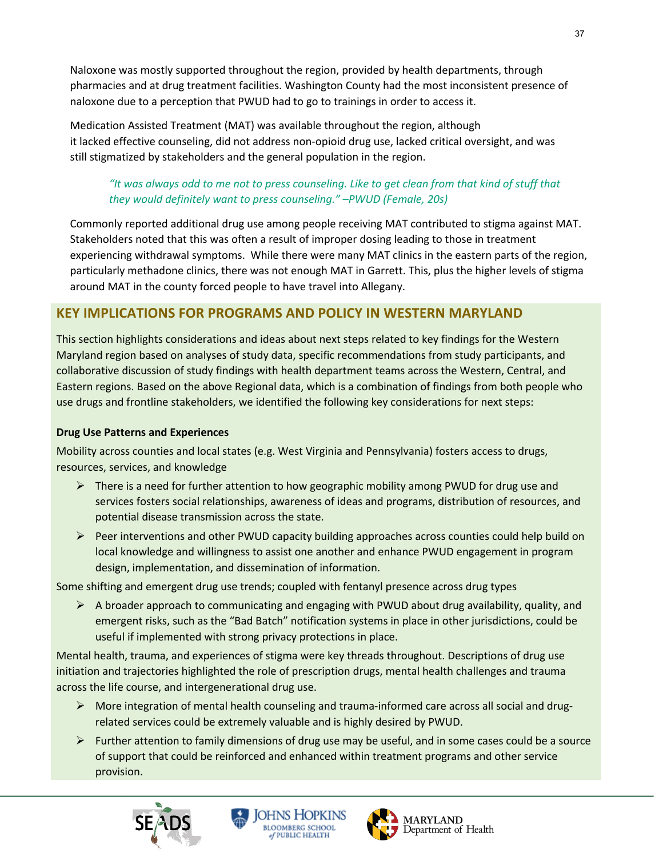Naloxone was mostly supported throughout the region, provided by health departments, through pharmacies and at drug treatment facilities. Washington County had the most inconsistent presence of naloxone due to a perception that PWUD had to go to trainings in order to access it.

Medication Assisted Treatment (MAT) was available throughout the region, although it lacked effective counseling, did not address non-opioid drug use, lacked critical oversight, and was still stigmatized by stakeholders and the general population in the region.

# *"It was always odd to me not to press counseling. Like to get clean from that kind of stuff that they would definitely want to press counseling."* –*PWUD (Female, 20s)*

Commonly reported additional drug use among people receiving MAT contributed to stigma against MAT. Stakeholders noted that this was often a result of improper dosing leading to those in treatment experiencing withdrawal symptoms. While there were many MAT clinics in the eastern parts of the region, particularly methadone clinics, there was not enough MAT in Garrett. This, plus the higher levels of stigma around MAT in the county forced people to have travel into Allegany.

# **KEY IMPLICATIONS FOR PROGRAMS AND POLICY IN WESTERN MARYLAND**

This section highlights considerations and ideas about next steps related to key findings for the Western Maryland region based on analyses of study data, specific recommendations from study participants, and collaborative discussion of study findings with health department teams across the Western, Central, and Eastern regions. Based on the above Regional data, which is a combination of findings from both people who use drugs and frontline stakeholders, we identified the following key considerations for next steps:

# **Drug Use Patterns and Experiences**

Mobility across counties and local states (e.g. West Virginia and Pennsylvania) fosters access to drugs, resources, services, and knowledge

- $\triangleright$  There is a need for further attention to how geographic mobility among PWUD for drug use and services fosters social relationships, awareness of ideas and programs, distribution of resources, and potential disease transmission across the state.
- $\triangleright$  Peer interventions and other PWUD capacity building approaches across counties could help build on local knowledge and willingness to assist one another and enhance PWUD engagement in program design, implementation, and dissemination of information.

Some shifting and emergent drug use trends; coupled with fentanyl presence across drug types

 $\triangleright$  A broader approach to communicating and engaging with PWUD about drug availability, quality, and emergent risks, such as the "Bad Batch" notification systems in place in other jurisdictions, could be useful if implemented with strong privacy protections in place.

Mental health, trauma, and experiences of stigma were key threads throughout. Descriptions of drug use initiation and trajectories highlighted the role of prescription drugs, mental health challenges and trauma across the life course, and intergenerational drug use.

- $\triangleright$  More integration of mental health counseling and trauma-informed care across all social and drugrelated services could be extremely valuable and is highly desired by PWUD.
- $\triangleright$  Further attention to family dimensions of drug use may be useful, and in some cases could be a source of support that could be reinforced and enhanced within treatment programs and other service provision.





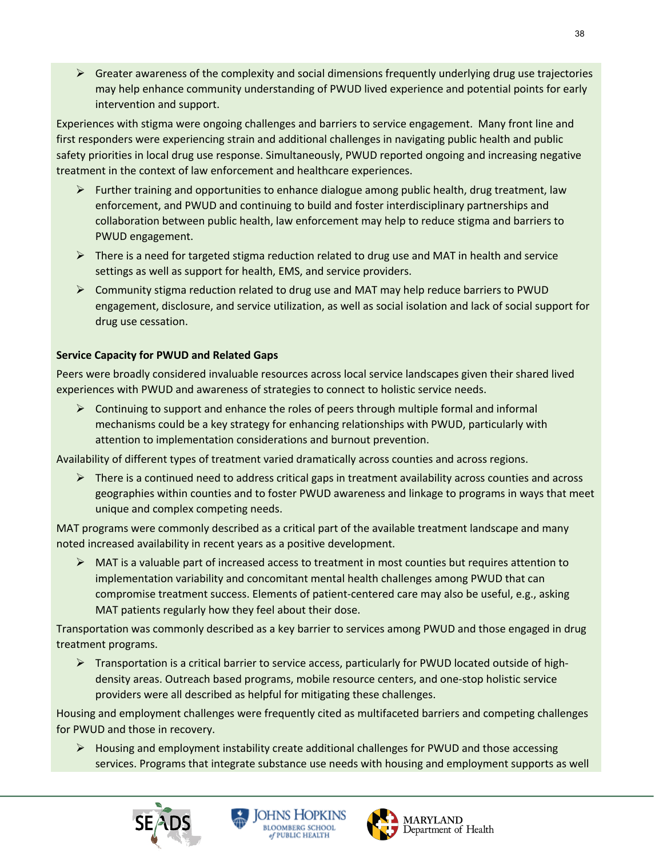$\triangleright$  Greater awareness of the complexity and social dimensions frequently underlying drug use trajectories may help enhance community understanding of PWUD lived experience and potential points for early intervention and support.

Experiences with stigma were ongoing challenges and barriers to service engagement. Many front line and first responders were experiencing strain and additional challenges in navigating public health and public safety priorities in local drug use response. Simultaneously, PWUD reported ongoing and increasing negative treatment in the context of law enforcement and healthcare experiences.

- $\triangleright$  Further training and opportunities to enhance dialogue among public health, drug treatment, law enforcement, and PWUD and continuing to build and foster interdisciplinary partnerships and collaboration between public health, law enforcement may help to reduce stigma and barriers to PWUD engagement.
- $\triangleright$  There is a need for targeted stigma reduction related to drug use and MAT in health and service settings as well as support for health, EMS, and service providers.
- $\triangleright$  Community stigma reduction related to drug use and MAT may help reduce barriers to PWUD engagement, disclosure, and service utilization, as well as social isolation and lack of social support for drug use cessation.

# **Service Capacity for PWUD and Related Gaps**

Peers were broadly considered invaluable resources across local service landscapes given their shared lived experiences with PWUD and awareness of strategies to connect to holistic service needs.

 $\triangleright$  Continuing to support and enhance the roles of peers through multiple formal and informal mechanisms could be a key strategy for enhancing relationships with PWUD, particularly with attention to implementation considerations and burnout prevention.

Availability of different types of treatment varied dramatically across counties and across regions.

 $\triangleright$  There is a continued need to address critical gaps in treatment availability across counties and across geographies within counties and to foster PWUD awareness and linkage to programs in ways that meet unique and complex competing needs.

MAT programs were commonly described as a critical part of the available treatment landscape and many noted increased availability in recent years as a positive development.

 $\triangleright$  MAT is a valuable part of increased access to treatment in most counties but requires attention to implementation variability and concomitant mental health challenges among PWUD that can compromise treatment success. Elements of patient-centered care may also be useful, e.g., asking MAT patients regularly how they feel about their dose.

Transportation was commonly described as a key barrier to services among PWUD and those engaged in drug treatment programs.

Ø Transportation is a critical barrier to service access, particularly for PWUD located outside of highdensity areas. Outreach based programs, mobile resource centers, and one-stop holistic service providers were all described as helpful for mitigating these challenges.

Housing and employment challenges were frequently cited as multifaceted barriers and competing challenges for PWUD and those in recovery.

 $\triangleright$  Housing and employment instability create additional challenges for PWUD and those accessing services. Programs that integrate substance use needs with housing and employment supports as well





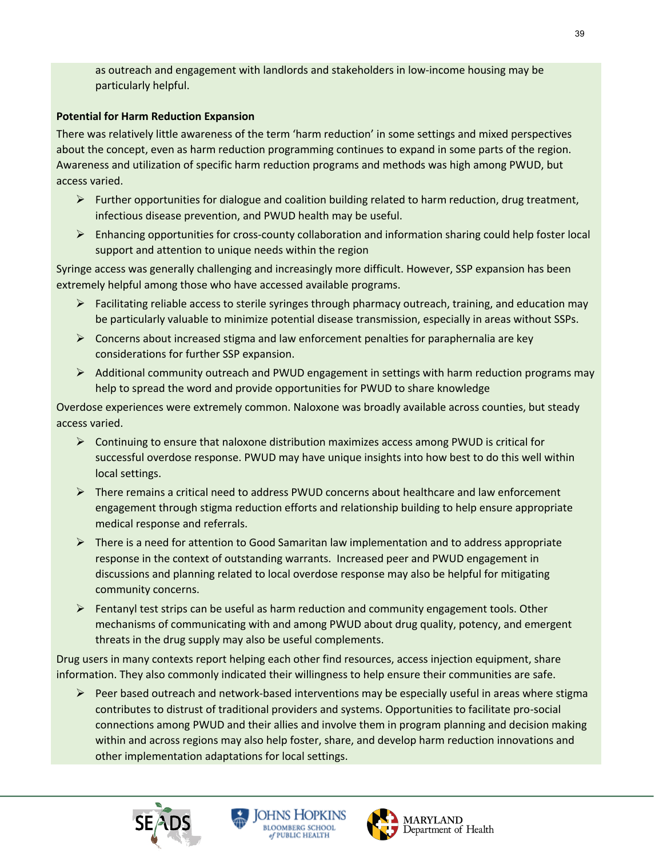as outreach and engagement with landlords and stakeholders in low-income housing may be particularly helpful.

# **Potential for Harm Reduction Expansion**

There was relatively little awareness of the term 'harm reduction' in some settings and mixed perspectives about the concept, even as harm reduction programming continues to expand in some parts of the region. Awareness and utilization of specific harm reduction programs and methods was high among PWUD, but access varied.

- $\triangleright$  Further opportunities for dialogue and coalition building related to harm reduction, drug treatment, infectious disease prevention, and PWUD health may be useful.
- $\triangleright$  Enhancing opportunities for cross-county collaboration and information sharing could help foster local support and attention to unique needs within the region

Syringe access was generally challenging and increasingly more difficult. However, SSP expansion has been extremely helpful among those who have accessed available programs.

- $\triangleright$  Facilitating reliable access to sterile syringes through pharmacy outreach, training, and education may be particularly valuable to minimize potential disease transmission, especially in areas without SSPs.
- $\triangleright$  Concerns about increased stigma and law enforcement penalties for paraphernalia are key considerations for further SSP expansion.
- Ø Additional community outreach and PWUD engagement in settings with harm reduction programs may help to spread the word and provide opportunities for PWUD to share knowledge

Overdose experiences were extremely common. Naloxone was broadly available across counties, but steady access varied.

- $\triangleright$  Continuing to ensure that naloxone distribution maximizes access among PWUD is critical for successful overdose response. PWUD may have unique insights into how best to do this well within local settings.
- $\triangleright$  There remains a critical need to address PWUD concerns about healthcare and law enforcement engagement through stigma reduction efforts and relationship building to help ensure appropriate medical response and referrals.
- $\triangleright$  There is a need for attention to Good Samaritan law implementation and to address appropriate response in the context of outstanding warrants. Increased peer and PWUD engagement in discussions and planning related to local overdose response may also be helpful for mitigating community concerns.
- $\triangleright$  Fentanyl test strips can be useful as harm reduction and community engagement tools. Other mechanisms of communicating with and among PWUD about drug quality, potency, and emergent threats in the drug supply may also be useful complements.

Drug users in many contexts report helping each other find resources, access injection equipment, share information. They also commonly indicated their willingness to help ensure their communities are safe.

 $\triangleright$  Peer based outreach and network-based interventions may be especially useful in areas where stigma contributes to distrust of traditional providers and systems. Opportunities to facilitate pro-social connections among PWUD and their allies and involve them in program planning and decision making within and across regions may also help foster, share, and develop harm reduction innovations and other implementation adaptations for local settings.